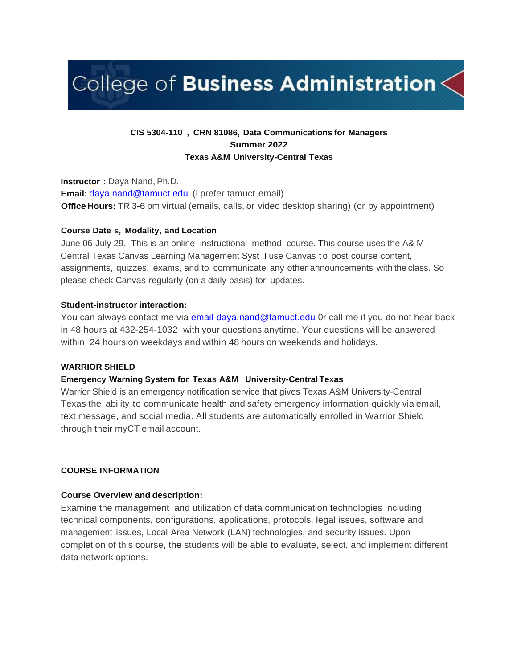# College of Business Administration $\leq$

# **CIS 5304-110 , CRN 81086, Data Communications for Managers Summer 2022 Texas A&M University-Central Texas**

**Instructor :** Daya Nand, Ph.D. **Email:** [daya.nand@tamuct.edu](mailto:daya.nand@tamuct.edu) (I prefer tamuct email) **Office Hours:** TR 3-6 pm virtual (emails, calls, or video desktop sharing) (or by appointment)

#### **Course Date s, Modality, and Location**

June 06-July 29. This is an online instructional method course. This course uses the A& M - Central Texas Canvas Learning Management Syst .I use Canvas to post course content, assignments, quizzes, exams, and to communicate any other announcements with the class. So please check Canvas regularly (on a daily basis) for updates.

#### **Student-instructor interaction:**

You can always contact me via [email-daya.nand@tamuct.edu](mailto:email-daya.nand@tamuct.edu) 0r call me if you do not hear back in 48 hours at 432-254-1032 with your questions anytime. Your questions will be answered within 24 hours on weekdays and within 48 hours on weekends and holidays.

#### **WARRIOR SHIELD**

#### **Emergency Warning System for Texas A&M University-Central Texas**

Warrior Shield is an emergency notification service that gives Texas A&M University-Central Texas the ability to communicate health and safety emergency information quickly via email, text message, and social media. All students are automatically enrolled in Warrior Shield through their myCT email account.

#### **COURSE INFORMATION**

#### **Course Overview and description:**

Examine the management and utilization of data communication technologies including technical components, configurations, applications, protocols, legal issues, software and management issues, Local Area Network (LAN) technologies, and security issues. Upon completion of this course, the students will be able to evaluate, select, and implement different data network options.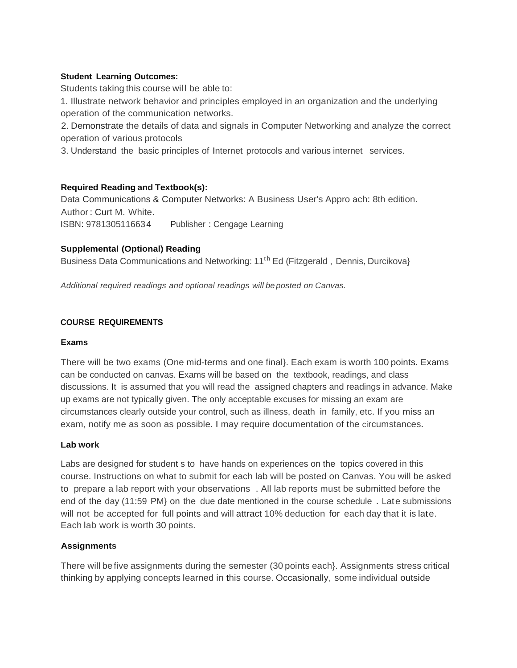## **Student Learning Outcomes:**

Students taking this course will be able to:

1. Illustrate network behavior and principles employed in an organization and the underlying operation of the communication networks.

2. Demonstrate the details of data and signals in Computer Networking and analyze the correct operation of various protocols

3. Understand the basic principles of Internet protocols and various internet services.

## **Required Reading and Textbook(s):**

Data Communications & Computer Networks: A Business User's Appro ach: 8th edition. Author: Curt M. White. ISBN: 9781305116634 Publisher : Cengage Learning

## **Supplemental (Optional) Reading**

Business Data Communications and Networking: 11<sup>th</sup> Ed (Fitzgerald, Dennis, Durcikova)

*Additional required readings and optional readings will be posted on Canvas.*

## **COURSE REQUIREMENTS**

#### **Exams**

There will be two exams (One mid-terms and one final}. Each exam is worth 100 points. Exams can be conducted on canvas. Exams will be based on the textbook, readings, and class discussions. It is assumed that you will read the assigned chapters and readings in advance. Make up exams are not typically given. The only acceptable excuses for missing an exam are circumstances clearly outside your control, such as illness, death in family, etc. If you miss an exam, notify me as soon as possible. I may require documentation of the circumstances.

#### **Lab work**

Labs are designed for student s to have hands on experiences on the topics covered in this course. Instructions on what to submit for each lab will be posted on Canvas. You will be asked to prepare a lab report with your observations . All lab reports must be submitted before the end of the day (11:59 PM} on the due date mentioned in the course schedule . Late submissions will not be accepted for full points and will attract 10% deduction for each day that it is late. Each lab work is worth 30 points.

#### **Assignments**

There will be five assignments during the semester (30 points each}. Assignments stress critical thinking by applying concepts learned in this course. Occasionally, some individual outside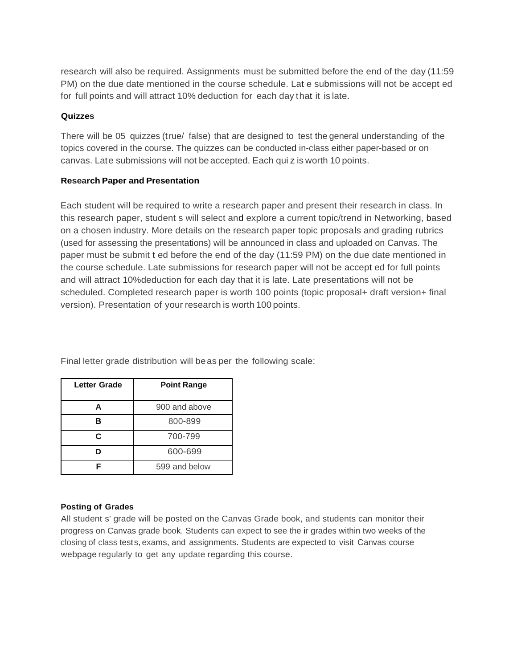research will also be required. Assignments must be submitted before the end of the day (11:59 PM) on the due date mentioned in the course schedule. Lat e submissions will not be accept ed for full points and will attract 10% deduction for each day that it is late.

#### **Quizzes**

There will be 05 quizzes (true/ false) that are designed to test the general understanding of the topics covered in the course. The quizzes can be conducted in-class either paper-based or on canvas. Late submissions will not be accepted. Each qui z is worth 10 points.

## **Research Paper and Presentation**

Each student will be required to write a research paper and present their research in class. In this research paper, student s will select and explore a current topic/trend in Networking, based on a chosen industry. More details on the research paper topic proposals and grading rubrics (used for assessing the presentations) will be announced in class and uploaded on Canvas. The paper must be submit t ed before the end of the day (11:59 PM) on the due date mentioned in the course schedule. Late submissions for research paper will not be accept ed for full points and will attract 10%deduction for each day that it is late. Late presentations will not be scheduled. Completed research paper is worth 100 points (topic proposal+ draft version+ final version). Presentation of your research is worth 100 points.

| <b>Letter Grade</b> | <b>Point Range</b> |  |
|---------------------|--------------------|--|
| А                   | 900 and above      |  |
| R                   | 800-899            |  |
| C                   | 700-799            |  |
|                     | 600-699            |  |
|                     | 599 and below      |  |

Final letter grade distribution will beas per the following scale:

#### **Posting of Grades**

All student s' grade will be posted on the Canvas Grade book, and students can monitor their progress on Canvas grade book. Students can expect to see the ir grades within two weeks of the closing of class tests, exams, and assignments. Students are expected to visit Canvas course webpage regularly to get any update regarding this course.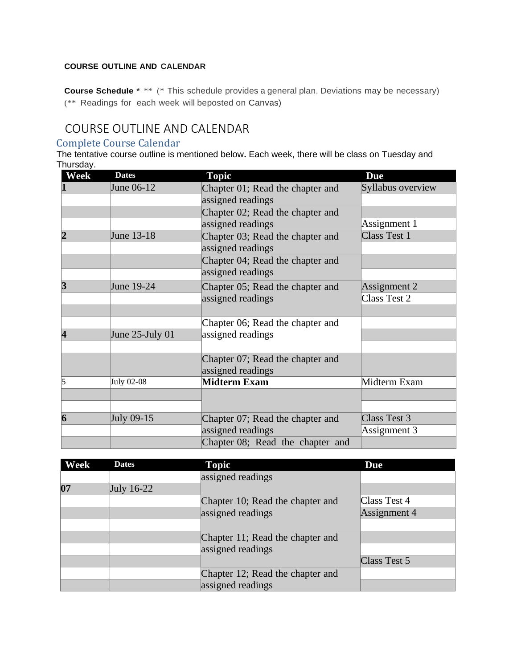# **COURSE OUTLINE AND CALENDAR**

**Course Schedule** \* \*\* (\* This schedule provides a general plan. Deviations may be necessary) (\*\* Readings for each week will beposted on Canvas)

# COURSE OUTLINE AND CALENDAR

# Complete Course Calendar

The tentative course outline is mentioned below. Each week, there will be class on Tuesday and Thursday.

| Week           | <b>Dates</b>       | <b>Topic</b>                     | <b>Due</b>        |
|----------------|--------------------|----------------------------------|-------------------|
| 1              | June 06-12         | Chapter 01; Read the chapter and | Syllabus overview |
|                |                    | assigned readings                |                   |
|                |                    | Chapter 02; Read the chapter and |                   |
|                |                    | assigned readings                | Assignment 1      |
| $\overline{2}$ | June 13-18         | Chapter 03; Read the chapter and | Class Test 1      |
|                |                    | assigned readings                |                   |
|                |                    | Chapter 04; Read the chapter and |                   |
|                |                    | assigned readings                |                   |
| $\mathbf{3}$   | June 19-24         | Chapter 05; Read the chapter and | Assignment 2      |
|                |                    | assigned readings                | Class Test 2      |
|                |                    |                                  |                   |
|                |                    | Chapter 06; Read the chapter and |                   |
| 4              | June $25$ -July 01 | assigned readings                |                   |
|                |                    |                                  |                   |
|                |                    | Chapter 07; Read the chapter and |                   |
|                |                    | assigned readings                |                   |
| 5              | July 02-08         | Midterm Exam                     | Midterm Exam      |
|                |                    |                                  |                   |
|                |                    |                                  |                   |
| 6              | July 09-15         | Chapter 07; Read the chapter and | Class Test 3      |
|                |                    | assigned readings                | Assignment 3      |
|                |                    | Chapter 08; Read the chapter and |                   |

| Week | <b>Dates</b> | <b>Topic</b>                     | <b>Due</b>   |
|------|--------------|----------------------------------|--------------|
|      |              | assigned readings                |              |
| 07   | July $16-22$ |                                  |              |
|      |              | Chapter 10; Read the chapter and | Class Test 4 |
|      |              | assigned readings                | Assignment 4 |
|      |              |                                  |              |
|      |              | Chapter 11; Read the chapter and |              |
|      |              | assigned readings                |              |
|      |              |                                  | Class Test 5 |
|      |              | Chapter 12; Read the chapter and |              |
|      |              | assigned readings                |              |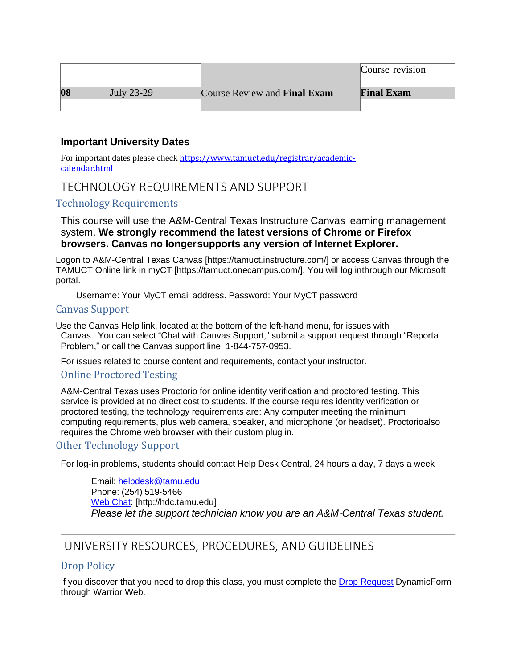|    |                      |                                     | Course revision   |
|----|----------------------|-------------------------------------|-------------------|
| 08 | $\text{July } 23-29$ | Course Review and <b>Final Exam</b> | <b>Final Exam</b> |
|    |                      |                                     |                   |

# **Important University Dates**

For important dates please check [https://www.tamuct.edu/registrar/academic](http://www.tamuct.edu/registrar/academic-)calendar.html

# TECHNOLOGY REQUIREMENTS AND SUPPORT

# Technology Requirements

This course will use the A&M‐Central Texas Instructure Canvas learning management system. **We strongly recommend the latest versions of Chrome or Firefox browsers. Canvas no longersupports any version of Internet Explorer.**

Logon to A&M‐Central Texas Canvas [https://tamuct.instructure.com/] or access Canvas through the TAMUCT Online link in myCT [https://tamuct.onecampus.com/]. You will log inthrough our Microsoft portal.

Username: Your MyCT email address. Password: Your MyCT password

## Canvas Support

Use the Canvas Help link, located at the bottom of the left‐hand menu, for issues with Canvas. You can select "Chat with Canvas Support," submit a support request through "Reporta Problem," or call the Canvas support line: 1‐844‐757‐0953.

For issues related to course content and requirements, contact your instructor.

# Online Proctored Testing

A&M‐Central Texas uses Proctorio for online identity verification and proctored testing. This service is provided at no direct cost to students. If the course requires identity verification or proctored testing, the technology requirements are: Any computer meeting the minimum computing requirements, plus web camera, speaker, and microphone (or headset). Proctorioalso requires the Chrome web browser with their custom plug in.

# Other Technology Support

For log‐in problems, students should contact Help Desk Central, 24 hours a day, 7 days a week

Email: [helpdesk@tamu.edu](mailto:helpdesk@tamu.edu) Phone: (254) 519‐5466 Web Chat: [\[http://hdc.tamu.edu\]](http://hdc.tamu.edu/) *Please let the support technician know you are an A&M*‐*Central Texas student.*

# UNIVERSITY RESOURCES, PROCEDURES, AND GUIDELINES

# Drop Policy

If you discover that you need to drop this class, you must complete the Drop Request DynamicForm through Warrior Web.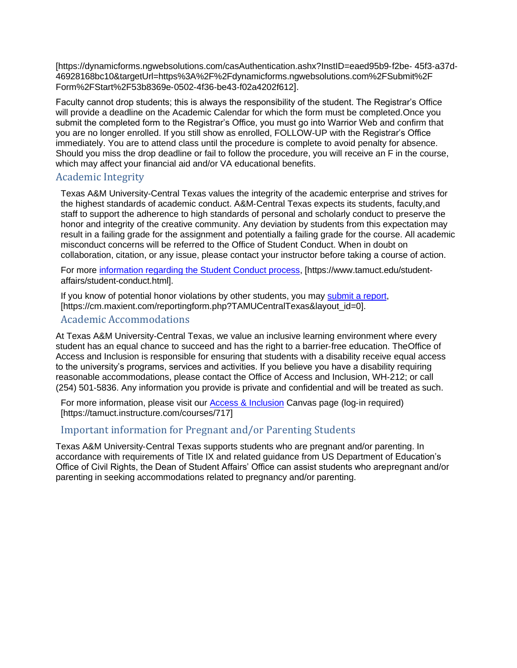[https://dynamicforms.ngwebsolutions.com/casAuthentication.ashx?InstID=eaed95b9‐f2be‐ 45f3‐a37d‐ 46928168bc10&targetUrl=https%3A%2F%2Fdynamicforms.ngwebsolutions.com%2FSubmit%2F Form%2FStart%2F53b8369e‐0502‐4f36‐be43‐f02a4202f612].

Faculty cannot drop students; this is always the responsibility of the student. The Registrar's Office will provide a deadline on the Academic Calendar for which the form must be completed.Once you submit the completed form to the Registrar's Office, you must go into Warrior Web and confirm that you are no longer enrolled. If you still show as enrolled, FOLLOW‐UP with the Registrar's Office immediately. You are to attend class until the procedure is complete to avoid penalty for absence. Should you miss the drop deadline or fail to follow the procedure, you will receive an F in the course, which may affect your financial aid and/or VA educational benefits.

# Academic Integrity

Texas A&M University‐Central Texas values the integrity of the academic enterprise and strives for the highest standards of academic conduct. A&M‐Central Texas expects its students, faculty,and staff to support the adherence to high standards of personal and scholarly conduct to preserve the honor and integrity of the creative community. Any deviation by students from this expectation may result in a failing grade for the assignment and potentially a failing grade for the course. All academic misconduct concerns will be referred to the Office of Student Conduct. When in doubt on collaboration, citation, or any issue, please contact your instructor before taking a course of action.

For more information regarding the Student Conduct process, [\[https://www.tamuct.edu/student](http://www.tamuct.edu/student)‐ affairs/student‐conduct.html].

If you know of potential honor violations by other students, you may submit a report, [https://cm.maxient.com/reportingform.php?TAMUCentralTexas&layout\_id=0].

# Academic Accommodations

At Texas A&M University‐Central Texas, we value an inclusive learning environment where every student has an equal chance to succeed and has the right to a barrier‐free education. TheOffice of Access and Inclusion is responsible for ensuring that students with a disability receive equal access to the university's programs, services and activities. If you believe you have a disability requiring reasonable accommodations, please contact the Office of Access and Inclusion, WH‐212; or call (254) 501‐5836. Any information you provide is private and confidential and will be treated as such.

For more information, please visit our Access & Inclusion Canvas page (log-in required) [https://tamuct.instructure.com/courses/717]

# Important information for Pregnant and/or Parenting Students

Texas A&M University‐Central Texas supports students who are pregnant and/or parenting. In accordance with requirements of Title IX and related guidance from US Department of Education's Office of Civil Rights, the Dean of Student Affairs' Office can assist students who arepregnant and/or parenting in seeking accommodations related to pregnancy and/or parenting.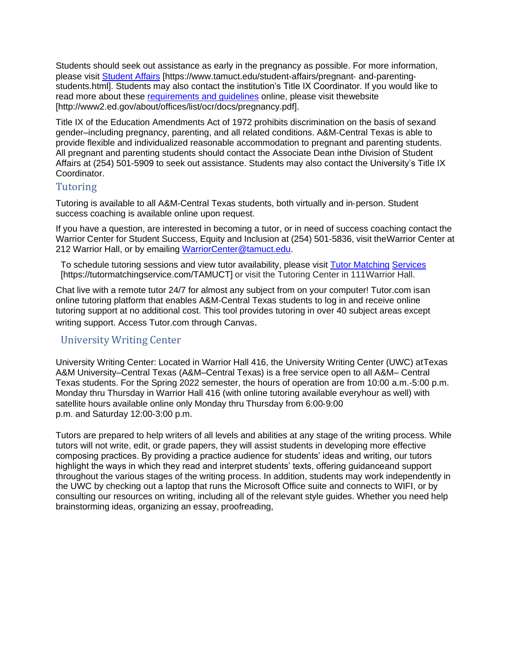Students should seek out assistance as early in the pregnancy as possible. For more information, please visit Student Affairs [\[https://www.tamuct.edu/student](http://www.tamuct.edu/student)-affairs/pregnant- and-parentingstudents.html]. Students may also contact the institution's Title IX Coordinator. If you would like to read more about these requirements and guidelines online, please visit thewebsite [\[http://www2.ed.gov/about/offices/list/ocr/docs/pregnancy.pdf\]](http://www2.ed.gov/about/offices/list/ocr/docs/pregnancy.pdf).

Title IX of the Education Amendments Act of 1972 prohibits discrimination on the basis of sexand gender–including pregnancy, parenting, and all related conditions. A&M‐Central Texas is able to provide flexible and individualized reasonable accommodation to pregnant and parenting students. All pregnant and parenting students should contact the Associate Dean inthe Division of Student Affairs at (254) 501‐5909 to seek out assistance. Students may also contact the University's Title IX Coordinator.

# Tutoring

Tutoring is available to all A&M‐Central Texas students, both virtually and in‐person. Student success coaching is available online upon request.

If you have a question, are interested in becoming a tutor, or in need of success coaching contact the Warrior Center for Student Success, Equity and Inclusion at (254) 501‐5836, visit theWarrior Center at 212 Warrior Hall, or by emailing [WarriorCenter@tamuct.edu.](mailto:WarriorCenter@tamuct.edu)

To schedule tutoring sessions and view tutor availability, please visit Tutor Matching Services [https://tutormatchingservice.com/TAMUCT] or visit the Tutoring Center in 111Warrior Hall.

Chat live with a remote tutor 24/7 for almost any subject from on your computer! Tutor.com isan online tutoring platform that enables A&M‐Central Texas students to log in and receive online tutoring support at no additional cost. This tool provides tutoring in over 40 subject areas except writing support. Access Tutor.com through Canvas.

# University Writing Center

University Writing Center: Located in Warrior Hall 416, the University Writing Center (UWC) atTexas A&M University–Central Texas (A&M–Central Texas) is a free service open to all A&M– Central Texas students. For the Spring 2022 semester, the hours of operation are from 10:00 a.m.‐5:00 p.m. Monday thru Thursday in Warrior Hall 416 (with online tutoring available everyhour as well) with satellite hours available online only Monday thru Thursday from 6:00‐9:00 p.m. and Saturday 12:00‐3:00 p.m.

Tutors are prepared to help writers of all levels and abilities at any stage of the writing process. While tutors will not write, edit, or grade papers, they will assist students in developing more effective composing practices. By providing a practice audience for students' ideas and writing, our tutors highlight the ways in which they read and interpret students' texts, offering guidanceand support throughout the various stages of the writing process. In addition, students may work independently in the UWC by checking out a laptop that runs the Microsoft Office suite and connects to WIFI, or by consulting our resources on writing, including all of the relevant style guides. Whether you need help brainstorming ideas, organizing an essay, proofreading,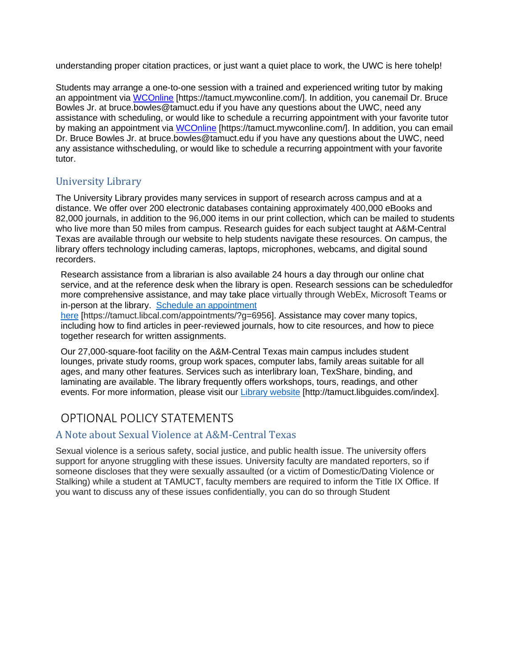understanding proper citation practices, or just want a quiet place to work, the UWC is here tohelp!

Students may arrange a one‐to‐one session with a trained and experienced writing tutor by making an appointment via WCOnline [https://tamuct.mywconline.com/]. In addition, you canemail Dr. Bruce Bowles Jr. at [bruce.bowles@tamuct.edu if](mailto:bruce.bowles@tamuct.edu) you have any questions about the UWC, need any assistance with scheduling, or would like to schedule a recurring appointment with your favorite tutor by making an appointment via WCOnline [https://tamuct.mywconline.com/]. In addition, you can email Dr. Bruce Bowles Jr. at [bruce.bowles@tamuct.edu i](mailto:bruce.bowles@tamuct.edu)f you have any questions about the UWC, need any assistance withscheduling, or would like to schedule a recurring appointment with your favorite tutor.

# University Library

The University Library provides many services in support of research across campus and at a distance. We offer over 200 electronic databases containing approximately 400,000 eBooks and 82,000 journals, in addition to the 96,000 items in our print collection, which can be mailed to students who live more than 50 miles from campus. Research guides for each subject taught at A&M‐Central Texas are available through our website to help students navigate these resources. On campus, the library offers technology including cameras, laptops, microphones, webcams, and digital sound recorders.

Research assistance from a librarian is also available 24 hours a day through our online chat service, and at the reference desk when the library is open. Research sessions can be scheduledfor more comprehensive assistance, and may take place virtually through WebEx, Microsoft Teams or in-person at the library. Schedule an appointment

here [https://tamuct.libcal.com/appointments/?g=6956]. Assistance may cover many topics, including how to find articles in peer‐reviewed journals, how to cite resources, and how to piece together research for written assignments.

Our 27,000‐square‐foot facility on the A&M‐Central Texas main campus includes student lounges, private study rooms, group work spaces, computer labs, family areas suitable for all ages, and many other features. Services such as interlibrary loan, TexShare, binding, and laminating are available. The library frequently offers workshops, tours, readings, and other events. For more information, please visit our Library website [\[http://tamuct.libguides.com/index\].](http://tamuct.libguides.com/index)

# OPTIONAL POLICY STATEMENTS

# A Note about Sexual Violence at A&M‐Central Texas

Sexual violence is a serious safety, social justice, and public health issue. The university offers support for anyone struggling with these issues. University faculty are mandated reporters, so if someone discloses that they were sexually assaulted (or a victim of Domestic/Dating Violence or Stalking) while a student at TAMUCT, faculty members are required to inform the Title IX Office. If you want to discuss any of these issues confidentially, you can do so through Student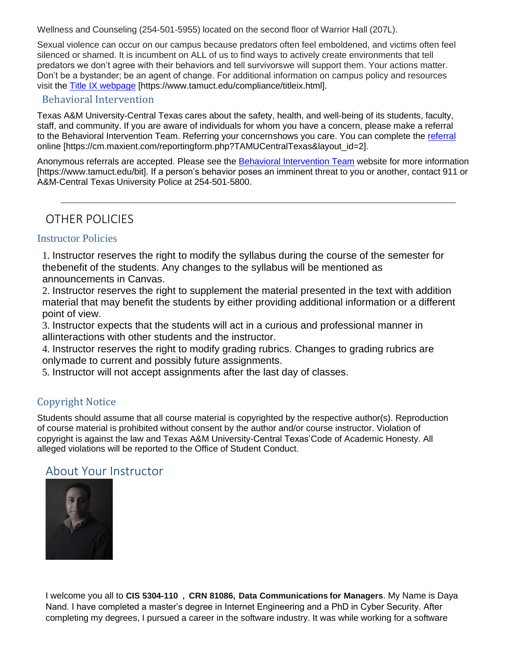Wellness and Counseling (254‐501‐5955) located on the second floor of Warrior Hall (207L).

Sexual violence can occur on our campus because predators often feel emboldened, and victims often feel silenced or shamed. It is incumbent on ALL of us to find ways to actively create environments that tell predators we don't agree with their behaviors and tell survivorswe will support them. Your actions matter. Don't be a bystander; be an agent of change. For additional information on campus policy and resources visit the Title IX webpage [\[https://www.tamuct.edu/compliance/titleix.html\].](http://www.tamuct.edu/compliance/titleix.html)

# Behavioral Intervention

Texas A&M University‐Central Texas cares about the safety, health, and well‐being of its students, faculty, staff, and community. If you are aware of individuals for whom you have a concern, please make a referral to the Behavioral Intervention Team. Referring your concernshows you care. You can complete the referral online [https://cm.maxient.com/reportingform.php?TAMUCentralTexas&layout\_id=2].

Anonymous referrals are accepted. Please see the Behavioral Intervention Team website for more information [\[https://www.tamuct.edu/bit\]. I](http://www.tamuct.edu/bit)f a person's behavior poses an imminent threat to you or another, contact 911 or A&M‐Central Texas University Police at 254‐501‐5800.

OTHER POLICIES

# Instructor Policies

1. Instructor reserves the right to modify the syllabus during the course of the semester for thebenefit of the students. Any changes to the syllabus will be mentioned as announcements in Canvas.

2. Instructor reserves the right to supplement the material presented in the text with addition material that may benefit the students by either providing additional information or a different point of view.

3. Instructor expects that the students will act in a curious and professional manner in allinteractions with other students and the instructor.

4. Instructor reserves the right to modify grading rubrics. Changes to grading rubrics are onlymade to current and possibly future assignments.

5. Instructor will not accept assignments after the last day of classes.

# Copyright Notice

Students should assume that all course material is copyrighted by the respective author(s). Reproduction of course material is prohibited without consent by the author and/or course instructor. Violation of copyright is against the law and Texas A&M University‐Central Texas'Code of Academic Honesty. All alleged violations will be reported to the Office of Student Conduct.

# About Your Instructor



I welcome you all to **CIS 5304-110 , CRN 81086, Data Communications for Managers**. My Name is Daya Nand. I have completed a master's degree in Internet Engineering and a PhD in Cyber Security. After completing my degrees, I pursued a career in the software industry. It was while working for a software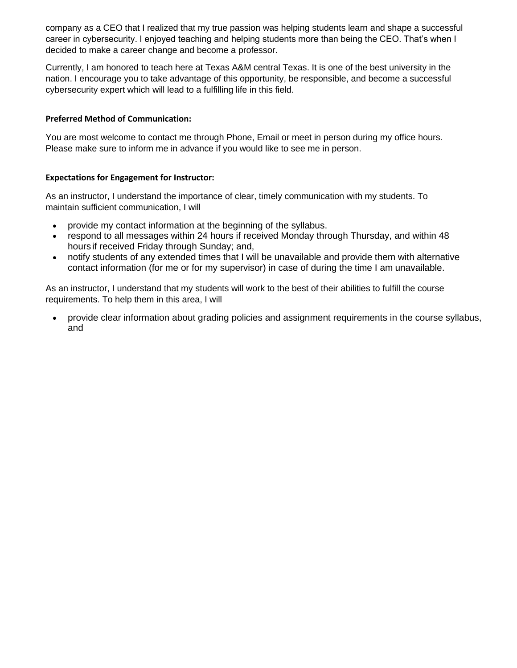company as a CEO that I realized that my true passion was helping students learn and shape a successful career in cybersecurity. I enjoyed teaching and helping students more than being the CEO. That's when I decided to make a career change and become a professor.

Currently, I am honored to teach here at Texas A&M central Texas. It is one of the best university in the nation. I encourage you to take advantage of this opportunity, be responsible, and become a successful cybersecurity expert which will lead to a fulfilling life in this field.

## **Preferred Method of Communication:**

You are most welcome to contact me through Phone, Email or meet in person during my office hours. Please make sure to inform me in advance if you would like to see me in person.

#### **Expectations for Engagement for Instructor:**

As an instructor, I understand the importance of clear, timely communication with my students. To maintain sufficient communication, I will

- provide my contact information at the beginning of the syllabus.
- respond to all messages within 24 hours if received Monday through Thursday, and within 48 hours if received Friday through Sunday; and,
- notify students of any extended times that I will be unavailable and provide them with alternative contact information (for me or for my supervisor) in case of during the time I am unavailable.

As an instructor, I understand that my students will work to the best of their abilities to fulfill the course requirements. To help them in this area, I will

• provide clear information about grading policies and assignment requirements in the course syllabus, and